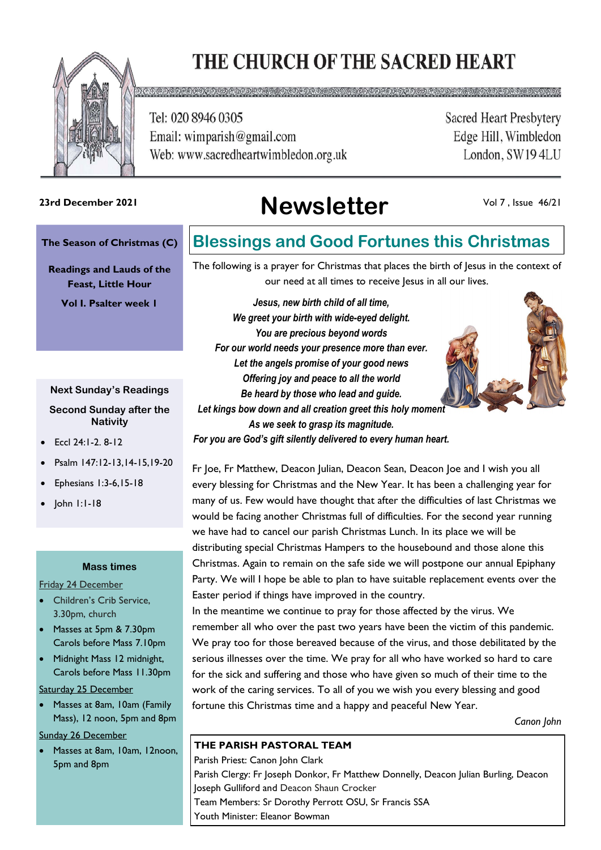# THE CHURCH OF THE SACRED HEART



Tel: 020 8946 0305 Email: wimparish@gmail.com Web: www.sacredheartwimbledon.org.uk

**Sacred Heart Presbytery** Edge Hill, Wimbledon London, SW194LU

# **Newsletter 23rd December 2021**

Vol 7 , Issue 46/21

#### **The Season of Christmas (C)**

**Readings and Lauds of the Feast, Little Hour**

**Vol I. Psalter week 1**

#### **Next Sunday's Readings**

**Second Sunday after the Nativity**

- Eccl 24:1-2. 8-12
- Psalm 147:12-13,14-15,19-20
- Ephesians 1:3-6,15-18
- John 1:1-18

#### **Mass times**

Friday 24 December

- Children's Crib Service, 3.30pm, church
- Masses at 5pm & 7.30pm Carols before Mass 7.10pm
- Midnight Mass 12 midnight, Carols before Mass 11.30pm

Saturday 25 December

• Masses at 8am, 10am (Family Mass), 12 noon, 5pm and 8pm

Sunday 26 December

• Masses at 8am, 10am, 12noon, 5pm and 8pm

### **Blessings and Good Fortunes this Christmas**

The following is a prayer for Christmas that places the birth of Jesus in the context of our need at all times to receive Jesus in all our lives.

*Jesus, new birth child of all time, We greet your birth with wide-eyed delight. You are precious beyond words For our world needs your presence more than ever. Let the angels promise of your good news Offering joy and peace to all the world Be heard by those who lead and guide. Let kings bow down and all creation greet this holy moment As we seek to grasp its magnitude.*

*For you are God's gift silently delivered to every human heart.*

Fr Joe, Fr Matthew, Deacon Julian, Deacon Sean, Deacon Joe and I wish you all every blessing for Christmas and the New Year. It has been a challenging year for many of us. Few would have thought that after the difficulties of last Christmas we would be facing another Christmas full of difficulties. For the second year running we have had to cancel our parish Christmas Lunch. In its place we will be distributing special Christmas Hampers to the housebound and those alone this Christmas. Again to remain on the safe side we will postpone our annual Epiphany Party. We will I hope be able to plan to have suitable replacement events over the Easter period if things have improved in the country.

In the meantime we continue to pray for those affected by the virus. We remember all who over the past two years have been the victim of this pandemic. We pray too for those bereaved because of the virus, and those debilitated by the serious illnesses over the time. We pray for all who have worked so hard to care for the sick and suffering and those who have given so much of their time to the work of the caring services. To all of you we wish you every blessing and good fortune this Christmas time and a happy and peaceful New Year.

*Canon John*

### **THE PARISH PASTORAL TEAM**

Parish Priest: Canon John Clark Parish Clergy: Fr Joseph Donkor, Fr Matthew Donnelly, Deacon Julian Burling, Deacon Joseph Gulliford and Deacon Shaun Crocker Team Members: Sr Dorothy Perrott OSU, Sr Francis SSA Youth Minister: Eleanor Bowman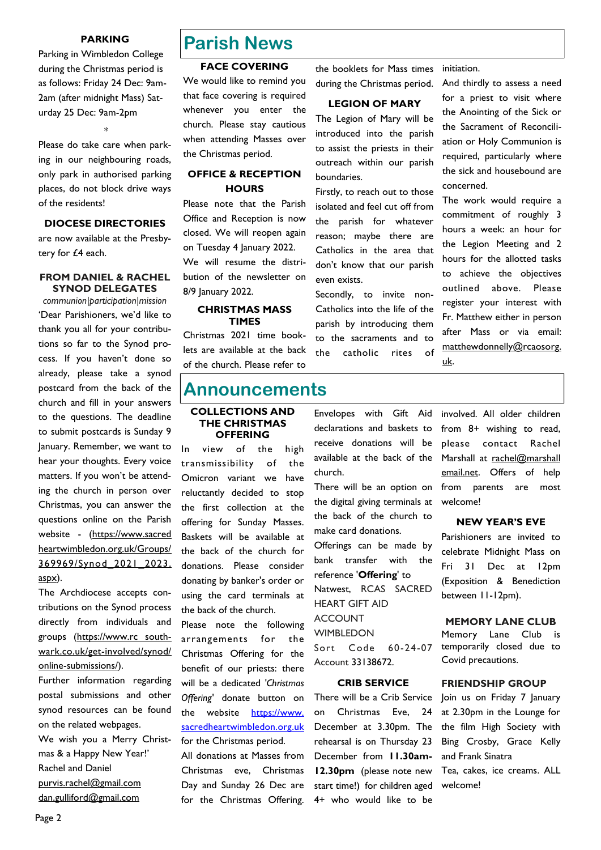#### **PARKING**

Parking in Wimbledon College during the Christmas period is as follows: Friday 24 Dec: 9am-2am (after midnight Mass) Saturday 25 Dec: 9am-2pm

Please do take care when parking in our neighbouring roads, only park in authorised parking places, do not block drive ways of the residents!

\*

#### **DIOCESE DIRECTORIES**

are now available at the Presbytery for £4 each.

#### **FROM DANIEL & RACHEL SYNOD DELEGATES**

*communion|participation|mission* 'Dear Parishioners, we'd like to thank you all for your contributions so far to the Synod process. If you haven't done so already, please take a synod postcard from the back of the church and fill in your answers to the questions. The deadline to submit postcards is Sunday 9 January. Remember, we want to hear your thoughts. Every voice matters. If you won't be attending the church in person over Christmas, you can answer the questions online on the Parish website - (https://www.sacred heartwimbledon.org.uk/Groups/ 369969/Synod\_2021\_2023. aspx).

The Archdiocese accepts contributions on the Synod process directly from individuals and groups (https://www.rc southwark.co.uk/get-involved/synod/ online-submissions/).

Further information regarding postal submissions and other synod resources can be found on the related webpages. We wish you a Merry Christmas & a Happy New Year!' Rachel and Daniel purvis.rachel@gmail.com dan.gulliford@gmail.com

### **Parish News**

#### **FACE COVERING**

We would like to remind you that face covering is required whenever you enter the church. Please stay cautious when attending Masses over the Christmas period.

#### **OFFICE & RECEPTION HOURS**

Please note that the Parish Office and Reception is now closed. We will reopen again on Tuesday 4 January 2022. We will resume the distribution of the newsletter on 8/9 January 2022.

#### **CHRISTMAS MASS TIMES**

Christmas 2021 time booklets are available at the back of the church. Please refer to

### **Announcements**

#### **COLLECTIONS AND THE CHRISTMAS OFFERING**

In view of the high transmissibility of the Omicron variant we have reluctantly decided to stop the first collection at the offering for Sunday Masses. Baskets will be available at the back of the church for donations. Please consider donating by banker's order or using the card terminals at the back of the church.

Please note the following arrangements for the Christmas Offering for the benefit of our priests: there will be a dedicated *'Christmas Offering'* donate button on the website https://www. [sacredheartwimbledon.org.uk](https://www.sacredheartwimbledon.org.uk/) for the Christmas period.

All donations at Masses from Christmas eve, Christmas Day and Sunday 26 Dec are for the Christmas Offering.

the booklets for Mass times during the Christmas period.

#### **LEGION OF MARY**

The Legion of Mary will be introduced into the parish to assist the priests in their outreach within our parish boundaries.

Firstly, to reach out to those isolated and feel cut off from the parish for whatever reason; maybe there are Catholics in the area that don't know that our parish even exists.

Secondly, to invite non-Catholics into the life of the parish by introducing them to the sacraments and to the catholic rites of

initiation.

And thirdly to assess a need for a priest to visit where the Anointing of the Sick or the Sacrament of Reconciliation or Holy Communion is required, particularly where the sick and housebound are concerned.

The work would require a commitment of roughly 3 hours a week: an hour for the Legion Meeting and 2 hours for the allotted tasks to achieve the objectives outlined above. Please register your interest with Fr. Matthew either in person after Mass or via email: matthewdonnelly@rcaosorg. uk.

Envelopes with Gift Aid declarations and baskets to receive donations will be available at the back of the church.

There will be an option on the digital giving terminals at the back of the church to make card donations. Offerings can be made by bank transfer with the reference '**Offering**' to Natwest, RCAS SACRED HEART GIFT AID ACCOUNT **WIMBLEDON** Sort Code 60-24-07 Account 33138672.

#### **CRIB SERVICE**

There will be a Crib Service on Christmas Eve, 24 December at 3.30pm. The rehearsal is on Thursday 23 December from **11.30am-12.30pm** (please note new start time!) for children aged 4+ who would like to be

involved. All older children from 8+ wishing to read, please contact Rachel Marshall at rachel@marshall email.net. Offers of help from parents are most welcome!

#### **NEW YEAR'S EVE**

Parishioners are invited to celebrate Midnight Mass on Fri 31 Dec at 12pm (Exposition & Benediction between 11-12pm).

#### **MEMORY LANE CLUB**

Memory Lane Club is temporarily closed due to Covid precautions.

#### **FRIENDSHIP GROUP**

Join us on Friday 7 January at 2.30pm in the Lounge for the film High Society with Bing Crosby, Grace Kelly and Frank Sinatra Tea, cakes, ice creams. ALL

welcome!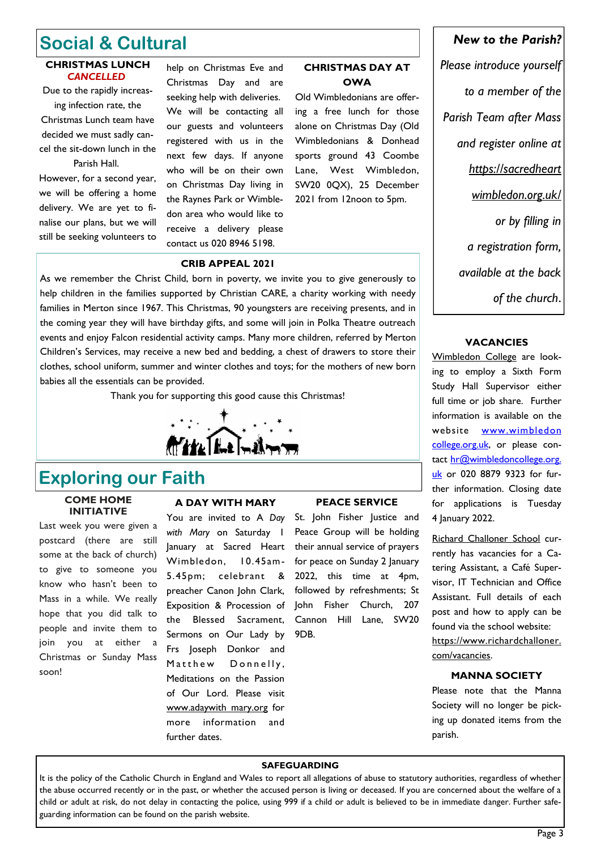## **Social & Cultural**

#### **CHRISTMAS LUNCH**  *CANCELLED*

Due to the rapidly increasing infection rate, the

Christmas Lunch team have decided we must sadly cancel the sit-down lunch in the Parish Hall.

However, for a second year, we will be offering a home delivery. We are yet to finalise our plans, but we will still be seeking volunteers to

help on Christmas Eve and Christmas Day and are seeking help with deliveries. We will be contacting all our guests and volunteers registered with us in the next few days. If anyone who will be on their own on Christmas Day living in the Raynes Park or Wimbledon area who would like to receive a delivery please contact us 020 8946 5198.

#### **CHRISTMAS DAY AT OWA**

Old Wimbledonians are offering a free lunch for those alone on Christmas Day (Old Wimbledonians & Donhead sports ground 43 Coombe Lane, West Wimbledon, SW20 0QX), 25 December 2021 from 12noon to 5pm.

#### **CRIB APPEAL 2021**

As we remember the Christ Child, born in poverty, we invite you to give generously to help children in the families supported by Christian CARE, a charity working with needy families in Merton since 1967. This Christmas, 90 youngsters are receiving presents, and in the coming year they will have birthday gifts, and some will join in Polka Theatre outreach events and enjoy Falcon residential activity camps. Many more children, referred by Merton Children's Services, may receive a new bed and bedding, a chest of drawers to store their clothes, school uniform, summer and winter clothes and toys; for the mothers of new born babies all the essentials can be provided.

Thank you for supporting this good cause this Christmas!



### **Exploring our Faith**

#### **COME HOME INITIATIVE**

Last week you were given a postcard (there are still some at the back of church) to give to someone you know who hasn't been to Mass in a while. We really hope that you did talk to people and invite them to join you at either a Christmas or Sunday Mass soon!

#### **A DAY WITH MARY**

You are invited to A *Day with Mary* on Saturday 1 January at Sacred Heart Wimbledon, 10.45am-5.45pm; celebrant & preacher Canon John Clark, Exposition & Procession of the Blessed Sacrament, Sermons on Our Lady by Frs Joseph Donkor and Matthew Donnelly, Meditations on the Passion of Our Lord. Please visit www.adaywith mary.org for more information and further dates.

#### **PEACE SERVICE**

St. John Fisher Justice and Peace Group will be holding their annual service of prayers for peace on Sunday 2 January 2022, this time at 4pm, followed by refreshments; St John Fisher Church, 207 Cannon Hill Lane, SW20 9DB.

#### *New to the Parish?*

*Please introduce yourself to a member of the Parish Team after Mass and register online at https://sacredheart wimbledon.org.uk/ or by filling in a registration form, available at the back of the church*.

#### **VACANCIES**

Wimbledon College are looking to employ a Sixth Form Study Hall Supervisor either full time or job share. Further information is available on the website www.wimbledon [college.org.uk,](http://www.wimbledoncollege.org.uk/) or please contact [hr@wimbledoncollege.org.](mailto:hr@wimbledoncollege.org.uk) [uk](mailto:hr@wimbledoncollege.org.uk) or 020 8879 9323 for further information. Closing date for applications is Tuesday 4 January 2022.

Richard Challoner School currently has vacancies for a Catering Assistant, a Café Supervisor, IT Technician and Office Assistant. Full details of each post and how to apply can be found via the school website: https://www.richardchalloner. com/vacancies.

#### **MANNA SOCIETY**

Please note that the Manna Society will no longer be picking up donated items from the parish.

#### **SAFEGUARDING**

It is the policy of the Catholic Church in England and Wales to report all allegations of abuse to statutory authorities, regardless of whether the abuse occurred recently or in the past, or whether the accused person is living or deceased. If you are concerned about the welfare of a child or adult at risk, do not delay in contacting the police, using 999 if a child or adult is believed to be in immediate danger. Further safeguarding information can be found on the parish website.